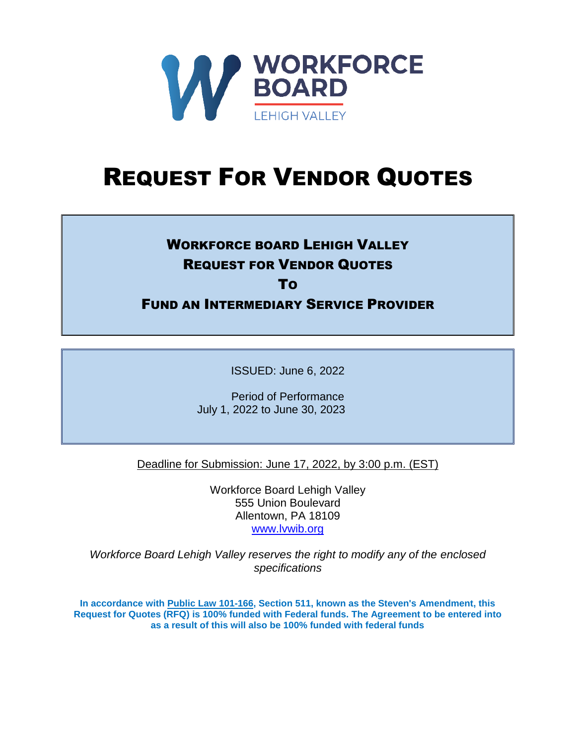

# REQUEST FOR VENDOR QUOTES

# WORKFORCE BOARD LEHIGH VALLEY REQUEST FOR VENDOR QUOTES

TO

FUND AN INTERMEDIARY SERVICE PROVIDER

ISSUED: June 6, 2022

Period of Performance July 1, 2022 to June 30, 2023

Deadline for Submission: June 17, 2022, by 3:00 p.m. (EST)

Workforce Board Lehigh Valley 555 Union Boulevard Allentown, PA 18109 [www.lvwib.org](http://www.lvwib.org/)

*Workforce Board Lehigh Valley reserves the right to modify any of the enclosed specifications*

**In accordance with [Public Law 101-166,](https://history.nih.gov/research/downloads/PL101-166.pdf) Section 511, known as the Steven's Amendment, this Request for Quotes (RFQ) is 100% funded with Federal funds. The Agreement to be entered into as a result of this will also be 100% funded with federal funds**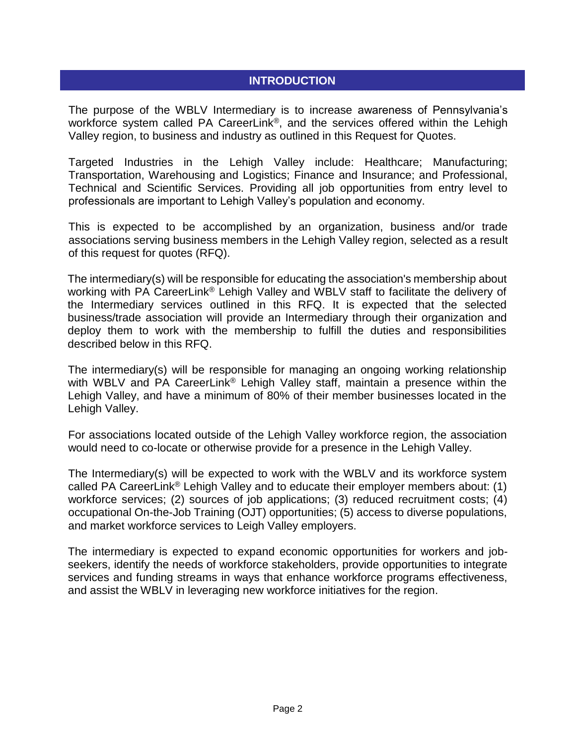#### **INTRODUCTION**

The purpose of the WBLV Intermediary is to increase awareness of Pennsylvania's workforce system called PA CareerLink®, and the services offered within the Lehigh Valley region, to business and industry as outlined in this Request for Quotes.

Targeted Industries in the Lehigh Valley include: Healthcare; Manufacturing; Transportation, Warehousing and Logistics; Finance and Insurance; and Professional, Technical and Scientific Services. Providing all job opportunities from entry level to professionals are important to Lehigh Valley's population and economy.

This is expected to be accomplished by an organization, business and/or trade associations serving business members in the Lehigh Valley region, selected as a result of this request for quotes (RFQ).

The intermediary(s) will be responsible for educating the association's membership about working with PA CareerLink<sup>®</sup> Lehigh Valley and WBLV staff to facilitate the delivery of the Intermediary services outlined in this RFQ. It is expected that the selected business/trade association will provide an Intermediary through their organization and deploy them to work with the membership to fulfill the duties and responsibilities described below in this RFQ.

The intermediary(s) will be responsible for managing an ongoing working relationship with WBLV and PA CareerLink<sup>®</sup> Lehigh Valley staff, maintain a presence within the Lehigh Valley, and have a minimum of 80% of their member businesses located in the Lehigh Valley.

For associations located outside of the Lehigh Valley workforce region, the association would need to co-locate or otherwise provide for a presence in the Lehigh Valley.

The Intermediary(s) will be expected to work with the WBLV and its workforce system called PA CareerLink® Lehigh Valley and to educate their employer members about: (1) workforce services; (2) sources of job applications; (3) reduced recruitment costs; (4) occupational On-the-Job Training (OJT) opportunities; (5) access to diverse populations, and market workforce services to Leigh Valley employers.

The intermediary is expected to expand economic opportunities for workers and jobseekers, identify the needs of workforce stakeholders, provide opportunities to integrate services and funding streams in ways that enhance workforce programs effectiveness, and assist the WBLV in leveraging new workforce initiatives for the region.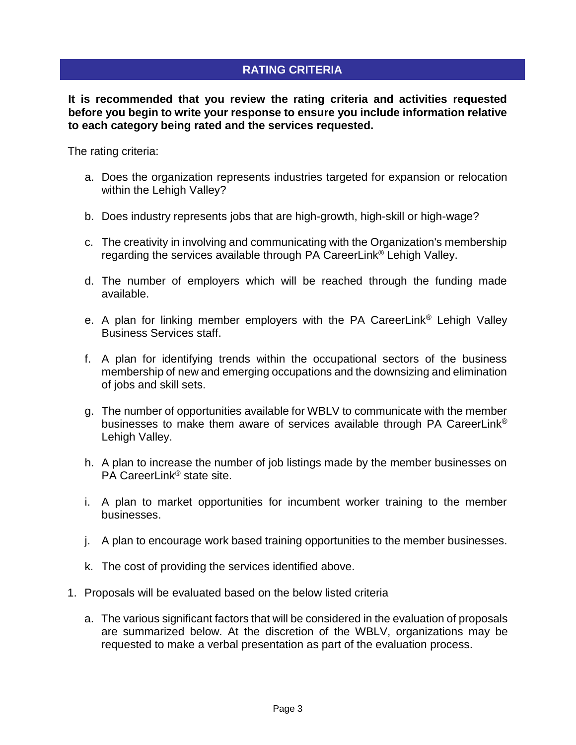## **RATING CRITERIA**

**It is recommended that you review the rating criteria and activities requested before you begin to write your response to ensure you include information relative to each category being rated and the services requested.**

The rating criteria:

- a. Does the organization represents industries targeted for expansion or relocation within the Lehigh Valley?
- b. Does industry represents jobs that are high-growth, high-skill or high-wage?
- c. The creativity in involving and communicating with the Organization's membership regarding the services available through PA CareerLink® Lehigh Valley.
- d. The number of employers which will be reached through the funding made available.
- e. A plan for linking member employers with the PA CareerLink® Lehigh Valley Business Services staff.
- f. A plan for identifying trends within the occupational sectors of the business membership of new and emerging occupations and the downsizing and elimination of jobs and skill sets.
- g. The number of opportunities available for WBLV to communicate with the member businesses to make them aware of services available through PA CareerLink® Lehigh Valley.
- h. A plan to increase the number of job listings made by the member businesses on PA CareerLink® state site.
- i. A plan to market opportunities for incumbent worker training to the member businesses.
- j. A plan to encourage work based training opportunities to the member businesses.
- k. The cost of providing the services identified above.
- 1. Proposals will be evaluated based on the below listed criteria
	- a. The various significant factors that will be considered in the evaluation of proposals are summarized below. At the discretion of the WBLV, organizations may be requested to make a verbal presentation as part of the evaluation process.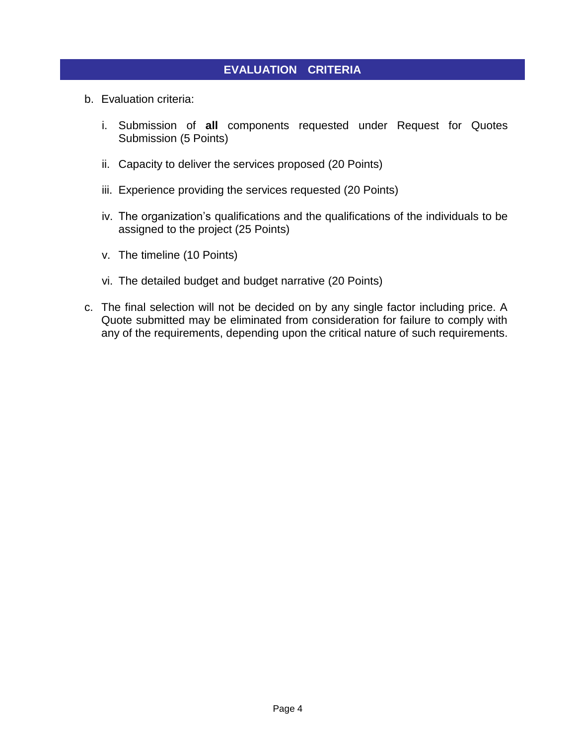#### **EVALUATION CRITERIA**

- b. Evaluation criteria:
	- i. Submission of **all** components requested under Request for Quotes Submission (5 Points)
	- ii. Capacity to deliver the services proposed (20 Points)
	- iii. Experience providing the services requested (20 Points)
	- iv. The organization's qualifications and the qualifications of the individuals to be assigned to the project (25 Points)
	- v. The timeline (10 Points)
	- vi. The detailed budget and budget narrative (20 Points)
- c. The final selection will not be decided on by any single factor including price. A Quote submitted may be eliminated from consideration for failure to comply with any of the requirements, depending upon the critical nature of such requirements.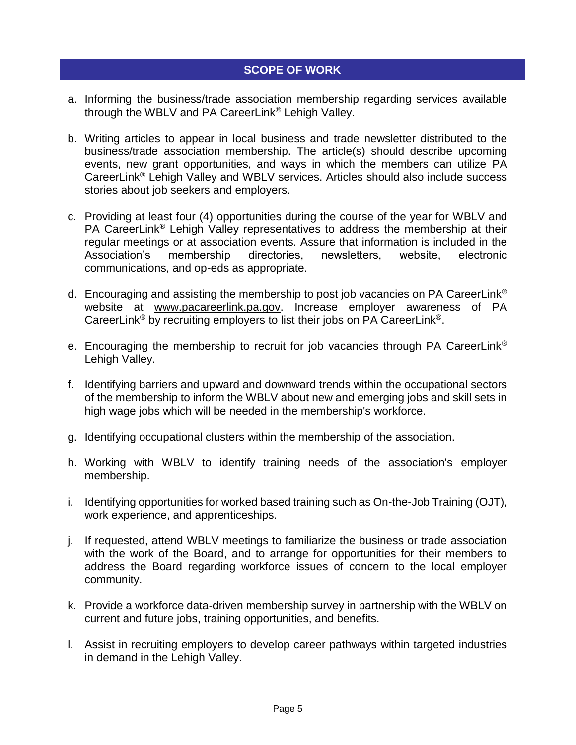#### **SCOPE OF WORK**

- a. Informing the business/trade association membership regarding services available through the WBLV and PA CareerLink® Lehigh Valley.
- b. Writing articles to appear in local business and trade newsletter distributed to the business/trade association membership. The article(s) should describe upcoming events, new grant opportunities, and ways in which the members can utilize PA CareerLink® Lehigh Valley and WBLV services. Articles should also include success stories about job seekers and employers.
- c. Providing at least four (4) opportunities during the course of the year for WBLV and PA CareerLink® Lehigh Valley representatives to address the membership at their regular meetings or at association events. Assure that information is included in the Association's membership directories, newsletters, website, electronic communications, and op-eds as appropriate.
- d. Encouraging and assisting the membership to post job vacancies on PA CareerLink® website at [www.pacareerlink.pa.gov.](http://www.pacareerlink.pa.gov/) Increase employer awareness of PA CareerLink® by recruiting employers to list their jobs on PA CareerLink®.
- e. Encouraging the membership to recruit for job vacancies through PA CareerLink® Lehigh Valley.
- f. Identifying barriers and upward and downward trends within the occupational sectors of the membership to inform the WBLV about new and emerging jobs and skill sets in high wage jobs which will be needed in the membership's workforce.
- g. Identifying occupational clusters within the membership of the association.
- h. Working with WBLV to identify training needs of the association's employer membership.
- i. Identifying opportunities for worked based training such as On-the-Job Training (OJT), work experience, and apprenticeships.
- j. If requested, attend WBLV meetings to familiarize the business or trade association with the work of the Board, and to arrange for opportunities for their members to address the Board regarding workforce issues of concern to the local employer community.
- k. Provide a workforce data-driven membership survey in partnership with the WBLV on current and future jobs, training opportunities, and benefits.
- l. Assist in recruiting employers to develop career pathways within targeted industries in demand in the Lehigh Valley.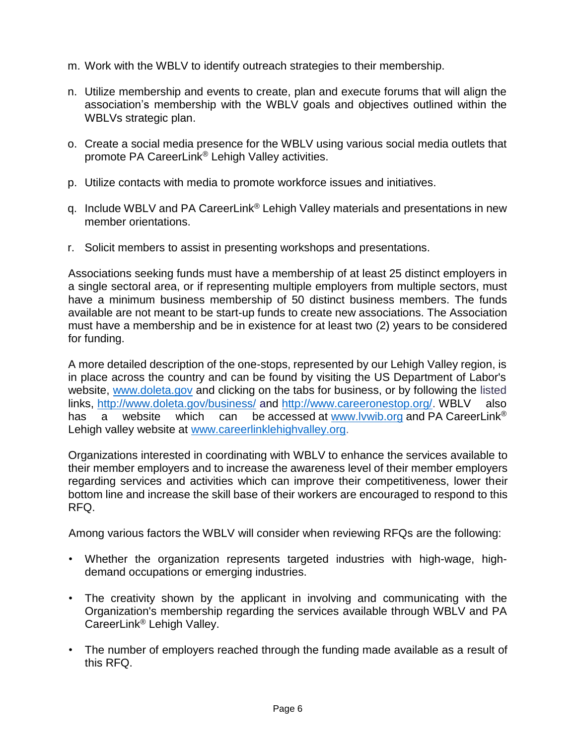- m. Work with the WBLV to identify outreach strategies to their membership.
- n. Utilize membership and events to create, plan and execute forums that will align the association's membership with the WBLV goals and objectives outlined within the WBLVs strategic plan.
- o. Create a social media presence for the WBLV using various social media outlets that promote PA CareerLink® Lehigh Valley activities.
- p. Utilize contacts with media to promote workforce issues and initiatives.
- q. Include WBLV and PA CareerLink® Lehigh Valley materials and presentations in new member orientations.
- r. Solicit members to assist in presenting workshops and presentations.

Associations seeking funds must have a membership of at least 25 distinct employers in a single sectoral area, or if representing multiple employers from multiple sectors, must have a minimum business membership of 50 distinct business members. The funds available are not meant to be start-up funds to create new associations. The Association must have a membership and be in existence for at least two (2) years to be considered for funding.

A more detailed description of the one-stops, represented by our Lehigh Valley region, is in place across the country and can be found by visiting the US Department of Labor's website, [www.doleta.gov](http://www.doleta.gov/) and clicking on the tabs for business, or by following the listed links,<http://www.doleta.gov/business/> and [http://www.careeronestop.org/.](http://www.careeronestop.org/) WBLV also has a website which can be accessed at www.lywib.org and PA CareerLink<sup>®</sup> Lehigh valley website at [www.careerlinklehighvalley.org.](http://www.careerlinklehighvalley.org/)

Organizations interested in coordinating with WBLV to enhance the services available to their member employers and to increase the awareness level of their member employers regarding services and activities which can improve their competitiveness, lower their bottom line and increase the skill base of their workers are encouraged to respond to this RFQ.

Among various factors the WBLV will consider when reviewing RFQs are the following:

- Whether the organization represents targeted industries with high-wage, highdemand occupations or emerging industries.
- The creativity shown by the applicant in involving and communicating with the Organization's membership regarding the services available through WBLV and PA CareerLink® Lehigh Valley.
- The number of employers reached through the funding made available as a result of this RFQ.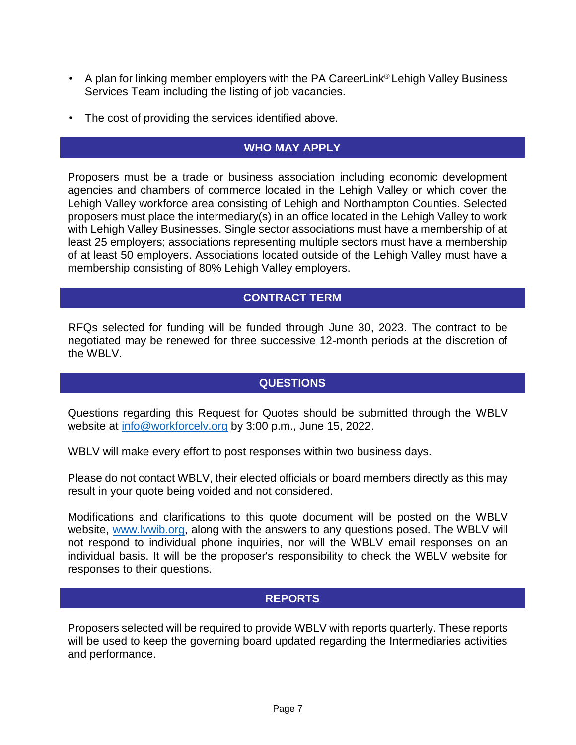- A plan for linking member employers with the PA CareerLink<sup>®</sup> Lehigh Valley Business Services Team including the listing of job vacancies.
- The cost of providing the services identified above.

### **WHO MAY APPLY**

Proposers must be a trade or business association including economic development agencies and chambers of commerce located in the Lehigh Valley or which cover the Lehigh Valley workforce area consisting of Lehigh and Northampton Counties. Selected proposers must place the intermediary(s) in an office located in the Lehigh Valley to work with Lehigh Valley Businesses. Single sector associations must have a membership of at least 25 employers; associations representing multiple sectors must have a membership of at least 50 employers. Associations located outside of the Lehigh Valley must have a membership consisting of 80% Lehigh Valley employers.

#### **CONTRACT TERM**

RFQs selected for funding will be funded through June 30, 2023. The contract to be negotiated may be renewed for three successive 12-month periods at the discretion of the WBLV.

#### **QUESTIONS**

Questions regarding this Request for Quotes should be submitted through the WBLV website at [info@workforcelv.org](mailto:info@workforcelv.org) by 3:00 p.m., June 15, 2022.

WBLV will make every effort to post responses within two business days.

Please do not contact WBLV, their elected officials or board members directly as this may result in your quote being voided and not considered.

Modifications and clarifications to this quote document will be posted on the WBLV website, [www.lvwib.org,](http://www.lvwib.org/) along with the answers to any questions posed. The WBLV will not respond to individual phone inquiries, nor will the WBLV email responses on an individual basis. It will be the proposer's responsibility to check the WBLV website for responses to their questions.

#### **REPORTS**

Proposers selected will be required to provide WBLV with reports quarterly. These reports will be used to keep the governing board updated regarding the Intermediaries activities and performance.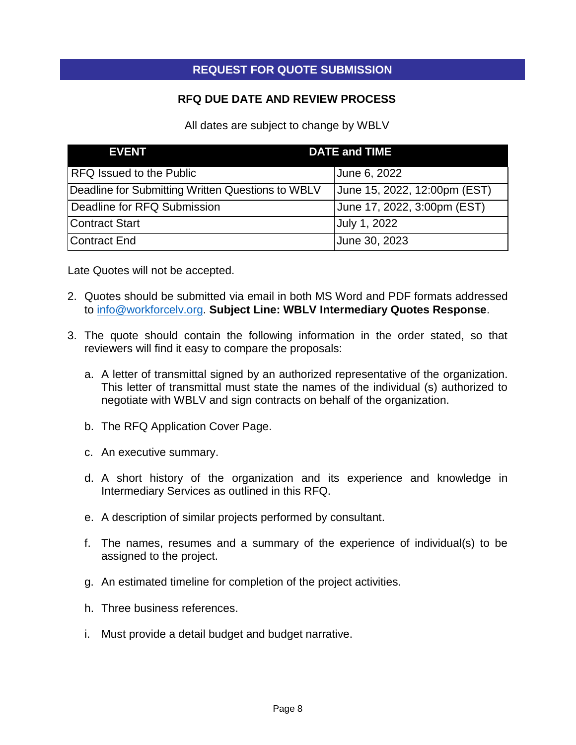#### **REQUEST FOR QUOTE SUBMISSION**

#### **RFQ DUE DATE AND REVIEW PROCESS**

All dates are subject to change by WBLV

| <b>EVENT</b>                                      | <b>DATE and TIME</b>         |
|---------------------------------------------------|------------------------------|
| RFQ Issued to the Public                          | June 6, 2022                 |
| Deadline for Submitting Written Questions to WBLV | June 15, 2022, 12:00pm (EST) |
| Deadline for RFQ Submission                       | June 17, 2022, 3:00pm (EST)  |
| Contract Start                                    | July 1, 2022                 |
| Contract End                                      | June 30, 2023                |

Late Quotes will not be accepted.

- 2. Quotes should be submitted via email in both MS Word and PDF formats addressed to [info@workforcelv.org.](mailto:info@workforcelv.org) **Subject Line: WBLV Intermediary Quotes Response**.
- 3. The quote should contain the following information in the order stated, so that reviewers will find it easy to compare the proposals:
	- a. A letter of transmittal signed by an authorized representative of the organization. This letter of transmittal must state the names of the individual (s) authorized to negotiate with WBLV and sign contracts on behalf of the organization.
	- b. The RFQ Application Cover Page.
	- c. An executive summary.
	- d. A short history of the organization and its experience and knowledge in Intermediary Services as outlined in this RFQ.
	- e. A description of similar projects performed by consultant.
	- f. The names, resumes and a summary of the experience of individual(s) to be assigned to the project.
	- g. An estimated timeline for completion of the project activities.
	- h. Three business references.
	- i. Must provide a detail budget and budget narrative.